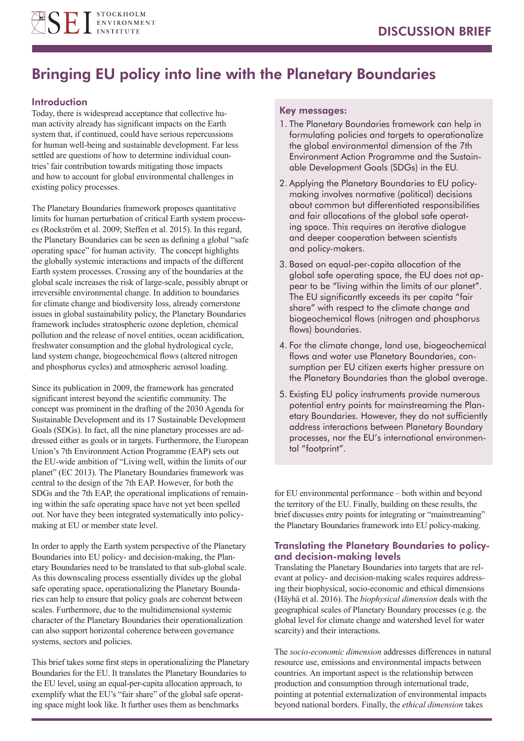# Bringing EU policy into line with the Planetary Boundaries

# Introduction

Today, there is widespread acceptance that collective human activity already has significant impacts on the Earth system that, if continued, could have serious repercussions for human well-being and sustainable development. Far less settled are questions of how to determine individual countries' fair contribution towards mitigating those impacts and how to account for global environmental challenges in existing policy processes.

The Planetary Boundaries framework proposes quantitative limits for human perturbation of critical Earth system processes (Rockström et al. 2009; Steffen et al. 2015). In this regard, the Planetary Boundaries can be seen as defining a global "safe operating space" for human activity. The concept highlights the globally systemic interactions and impacts of the different Earth system processes. Crossing any of the boundaries at the global scale increases the risk of large-scale, possibly abrupt or irreversible environmental change. In addition to boundaries for climate change and biodiversity loss, already cornerstone issues in global sustainability policy, the Planetary Boundaries framework includes stratospheric ozone depletion, chemical pollution and the release of novel entities, ocean acidification, freshwater consumption and the global hydrological cycle, land system change, biogeochemical flows (altered nitrogen and phosphorus cycles) and atmospheric aerosol loading.

Since its publication in 2009, the framework has generated significant interest beyond the scientific community. The concept was prominent in the drafting of the 2030 Agenda for Sustainable Development and its 17 Sustainable Development Goals (SDGs). In fact, all the nine planetary processes are addressed either as goals or in targets. Furthermore, the European Union's 7th Environment Action Programme (EAP) sets out the EU-wide ambition of "Living well, within the limits of our planet" (EC 2013). The Planetary Boundaries framework was central to the design of the 7th EAP. However, for both the SDGs and the 7th EAP, the operational implications of remaining within the safe operating space have not yet been spelled out. Nor have they been integrated systematically into policymaking at EU or member state level.

In order to apply the Earth system perspective of the Planetary Boundaries into EU policy- and decision-making, the Planetary Boundaries need to be translated to that sub-global scale. As this downscaling process essentially divides up the global safe operating space, operationalizing the Planetary Boundaries can help to ensure that policy goals are coherent between scales. Furthermore, due to the multidimensional systemic character of the Planetary Boundaries their operationalization can also support horizontal coherence between governance systems, sectors and policies.

This brief takes some first steps in operationalizing the Planetary Boundaries for the EU. It translates the Planetary Boundaries to the EU level, using an equal-per-capita allocation approach, to exemplify what the EU's "fair share" of the global safe operating space might look like. It further uses them as benchmarks

## Key messages:

- 1. The Planetary Boundaries framework can help in formulating policies and targets to operationalize the global environmental dimension of the 7th Environment Action Programme and the Sustainable Development Goals (SDGs) in the EU.
- 2. Applying the Planetary Boundaries to EU policymaking involves normative (political) decisions about common but differentiated responsibilities and fair allocations of the global safe operating space. This requires an iterative dialogue and deeper cooperation between scientists and policy-makers.
- 3. Based on equal-per-capita allocation of the global safe operating space, the EU does not appear to be "living within the limits of our planet". The EU significantly exceeds its per capita "fair share" with respect to the climate change and biogeochemical flows (nitrogen and phosphorus flows) boundaries.
- 4. For the climate change, land use, biogeochemical flows and water use Planetary Boundaries, consumption per EU citizen exerts higher pressure on the Planetary Boundaries than the global average.
- 5. Existing EU policy instruments provide numerous potential entry points for mainstreaming the Planetary Boundaries. However, they do not sufficiently address interactions between Planetary Boundary processes, nor the EU's international environmental "footprint".

for EU environmental performance – both within and beyond the territory of the EU. Finally, building on these results, the brief discusses entry points for integrating or "mainstreaming" the Planetary Boundaries framework into EU policy-making.

# Translating the Planetary Boundaries to policyand decision-making levels

Translating the Planetary Boundaries into targets that are relevant at policy- and decision-making scales requires addressing their biophysical, socio-economic and ethical dimensions (Häyhä et al. 2016). The *biophysical dimension* deals with the geographical scales of Planetary Boundary processes (e.g. the global level for climate change and watershed level for water scarcity) and their interactions.

The *socio-economic dimension* addresses differences in natural resource use, emissions and environmental impacts between countries. An important aspect is the relationship between production and consumption through international trade, pointing at potential externalization of environmental impacts beyond national borders. Finally, the *ethical dimension* takes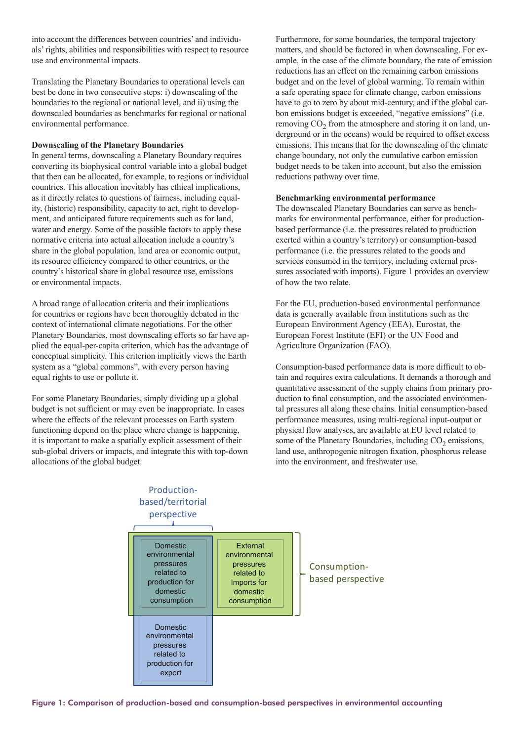into account the differences between countries' and individuals' rights, abilities and responsibilities with respect to resource use and environmental impacts.

Translating the Planetary Boundaries to operational levels can best be done in two consecutive steps: i) downscaling of the boundaries to the regional or national level, and ii) using the downscaled boundaries as benchmarks for regional or national environmental performance.

#### **Downscaling of the Planetary Boundaries**

In general terms, downscaling a Planetary Boundary requires converting its biophysical control variable into a global budget that then can be allocated, for example, to regions or individual countries. This allocation inevitably has ethical implications, as it directly relates to questions of fairness, including equality, (historic) responsibility, capacity to act, right to development, and anticipated future requirements such as for land, water and energy. Some of the possible factors to apply these normative criteria into actual allocation include a country's share in the global population, land area or economic output, its resource efficiency compared to other countries, or the country's historical share in global resource use, emissions or environmental impacts.

A broad range of allocation criteria and their implications for countries or regions have been thoroughly debated in the context of international climate negotiations. For the other Planetary Boundaries, most downscaling efforts so far have applied the equal-per-capita criterion, which has the advantage of conceptual simplicity. This criterion implicitly views the Earth system as a "global commons", with every person having equal rights to use or pollute it.

For some Planetary Boundaries, simply dividing up a global budget is not sufficient or may even be inappropriate. In cases where the effects of the relevant processes on Earth system functioning depend on the place where change is happening, it is important to make a spatially explicit assessment of their sub-global drivers or impacts, and integrate this with top-down allocations of the global budget.

Furthermore, for some boundaries, the temporal trajectory matters, and should be factored in when downscaling. For example, in the case of the climate boundary, the rate of emission reductions has an effect on the remaining carbon emissions budget and on the level of global warming. To remain within a safe operating space for climate change, carbon emissions have to go to zero by about mid-century, and if the global carbon emissions budget is exceeded, "negative emissions" (i.e. removing  $CO<sub>2</sub>$  from the atmosphere and storing it on land, underground or in the oceans) would be required to offset excess emissions. This means that for the downscaling of the climate change boundary, not only the cumulative carbon emission budget needs to be taken into account, but also the emission reductions pathway over time.

#### **Benchmarking environmental performance**

The downscaled Planetary Boundaries can serve as benchmarks for environmental performance, either for productionbased performance (i.e. the pressures related to production exerted within a country's territory) or consumption-based performance (i.e. the pressures related to the goods and services consumed in the territory, including external pressures associated with imports). Figure 1 provides an overview of how the two relate.

For the EU, production-based environmental performance data is generally available from institutions such as the European Environment Agency (EEA), Eurostat, the European Forest Institute (EFI) or the UN Food and Agriculture Organization (FAO).

Consumption-based performance data is more difficult to obtain and requires extra calculations. It demands a thorough and quantitative assessment of the supply chains from primary production to final consumption, and the associated environmental pressures all along these chains. Initial consumption-based performance measures, using multi-regional input-output or physical flow analyses, are available at EU level related to some of the Planetary Boundaries, including  $CO<sub>2</sub>$  emissions, land use, anthropogenic nitrogen fixation, phosphorus release into the environment, and freshwater use.



Figure 1: Comparison of production-based and consumption-based perspectives in environmental accounting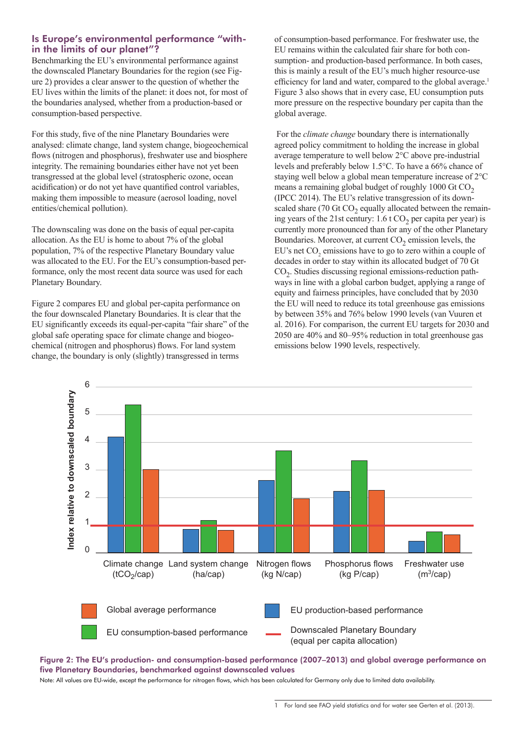## Is Europe's environmental performance "within the limits of our planet"?

Benchmarking the EU's environmental performance against the downscaled Planetary Boundaries for the region (see Figure 2) provides a clear answer to the question of whether the EU lives within the limits of the planet: it does not, for most of the boundaries analysed, whether from a production-based or consumption-based perspective.

For this study, five of the nine Planetary Boundaries were analysed: climate change, land system change, biogeochemical flows (nitrogen and phosphorus), freshwater use and biosphere integrity. The remaining boundaries either have not yet been transgressed at the global level (stratospheric ozone, ocean acidification) or do not yet have quantified control variables, making them impossible to measure (aerosol loading, novel entities/chemical pollution).

The downscaling was done on the basis of equal per-capita allocation. As the EU is home to about 7% of the global population, 7% of the respective Planetary Boundary value was allocated to the EU. For the EU's consumption-based performance, only the most recent data source was used for each Planetary Boundary.

Figure 2 compares EU and global per-capita performance on the four downscaled Planetary Boundaries. It is clear that the EU significantly exceeds its equal-per-capita "fair share" of the global safe operating space for climate change and biogeochemical (nitrogen and phosphorus) flows. For land system change, the boundary is only (slightly) transgressed in terms

of consumption-based performance. For freshwater use, the EU remains within the calculated fair share for both consumption- and production-based performance. In both cases, this is mainly a result of the EU's much higher resource-use efficiency for land and water, compared to the global average.<sup>1</sup> Figure 3 also shows that in every case, EU consumption puts more pressure on the respective boundary per capita than the global average.

 For the *climate change* boundary there is internationally agreed policy commitment to holding the increase in global average temperature to well below 2°C above pre-industrial levels and preferably below 1.5°C. To have a 66% chance of staying well below a global mean temperature increase of 2°C means a remaining global budget of roughly  $1000$  Gt  $CO<sub>2</sub>$ (IPCC 2014). The EU's relative transgression of its downscaled share (70 Gt  $CO<sub>2</sub>$  equally allocated between the remaining years of the 21st century:  $1.6$  t CO<sub>2</sub> per capita per year) is currently more pronounced than for any of the other Planetary Boundaries. Moreover, at current  $CO<sub>2</sub>$  emission levels, the EU's net  $CO_2$  emissions have to go to zero within a couple of decades in order to stay within its allocated budget of 70 Gt  $CO<sub>2</sub>$ . Studies discussing regional emissions-reduction pathways in line with a global carbon budget, applying a range of equity and fairness principles, have concluded that by 2030 the EU will need to reduce its total greenhouse gas emissions by between 35% and 76% below 1990 levels (van Vuuren et al. 2016). For comparison, the current EU targets for 2030 and 2050 are 40% and 80–95% reduction in total greenhouse gas emissions below 1990 levels, respectively.



## Figure 2: The EU's production- and consumption-based performance (2007–2013) and global average performance on five Planetary Boundaries, benchmarked against downscaled values

Note: All values are EU-wide, except the performance for nitrogen flows, which has been calculated for Germany only due to limited data availability.

<sup>1</sup> For land see FAO yield statistics and for water see Gerten et al. (2013).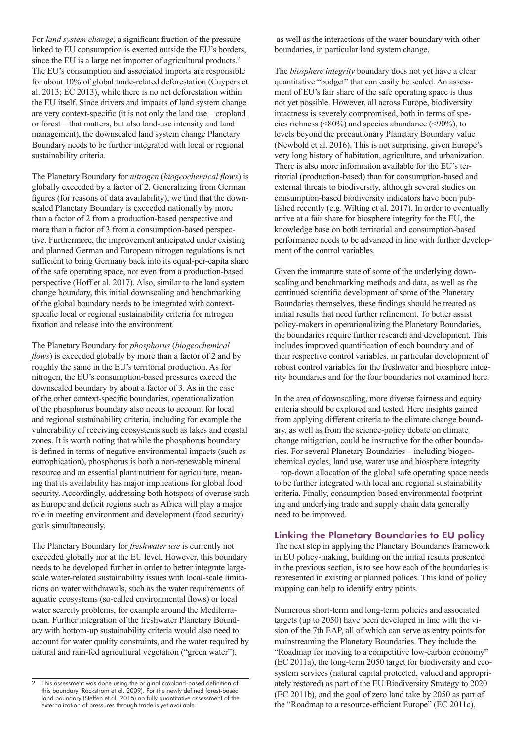For *land system change*, a significant fraction of the pressure linked to EU consumption is exerted outside the EU's borders, since the EU is a large net importer of agricultural products.<sup>2</sup> The EU's consumption and associated imports are responsible for about 10% of global trade-related deforestation (Cuypers et al. 2013; EC 2013), while there is no net deforestation within the EU itself. Since drivers and impacts of land system change are very context-specific (it is not only the land use – cropland or forest – that matters, but also land-use intensity and land management), the downscaled land system change Planetary Boundary needs to be further integrated with local or regional sustainability criteria.

The Planetary Boundary for *nitrogen* (*biogeochemical flows*) is globally exceeded by a factor of 2. Generalizing from German figures (for reasons of data availability), we find that the downscaled Planetary Boundary is exceeded nationally by more than a factor of 2 from a production-based perspective and more than a factor of 3 from a consumption-based perspective. Furthermore, the improvement anticipated under existing and planned German and European nitrogen regulations is not sufficient to bring Germany back into its equal-per-capita share of the safe operating space, not even from a production-based perspective (Hoff et al. 2017). Also, similar to the land system change boundary, this initial downscaling and benchmarking of the global boundary needs to be integrated with contextspecific local or regional sustainability criteria for nitrogen fixation and release into the environment.

The Planetary Boundary for *phosphorus* (*biogeochemical flows*) is exceeded globally by more than a factor of 2 and by roughly the same in the EU's territorial production. As for nitrogen, the EU's consumption-based pressures exceed the downscaled boundary by about a factor of 3. As in the case of the other context-specific boundaries, operationalization of the phosphorus boundary also needs to account for local and regional sustainability criteria, including for example the vulnerability of receiving ecosystems such as lakes and coastal zones. It is worth noting that while the phosphorus boundary is defined in terms of negative environmental impacts (such as eutrophication), phosphorus is both a non-renewable mineral resource and an essential plant nutrient for agriculture, meaning that its availability has major implications for global food security. Accordingly, addressing both hotspots of overuse such as Europe and deficit regions such as Africa will play a major role in meeting environment and development (food security) goals simultaneously.

The Planetary Boundary for *freshwater use* is currently not exceeded globally nor at the EU level. However, this boundary needs to be developed further in order to better integrate largescale water-related sustainability issues with local-scale limitations on water withdrawals, such as the water requirements of aquatic ecosystems (so-called environmental flows) or local water scarcity problems, for example around the Mediterranean. Further integration of the freshwater Planetary Boundary with bottom-up sustainability criteria would also need to account for water quality constraints, and the water required by natural and rain-fed agricultural vegetation ("green water"),

 as well as the interactions of the water boundary with other boundaries, in particular land system change.

The *biosphere integrity* boundary does not yet have a clear quantitative "budget" that can easily be scaled. An assessment of EU's fair share of the safe operating space is thus not yet possible. However, all across Europe, biodiversity intactness is severely compromised, both in terms of species richness (<80%) and species abundance (<90%), to levels beyond the precautionary Planetary Boundary value (Newbold et al. 2016). This is not surprising, given Europe's very long history of habitation, agriculture, and urbanization. There is also more information available for the EU's territorial (production-based) than for consumption-based and external threats to biodiversity, although several studies on consumption-based biodiversity indicators have been published recently (e.g. Wilting et al. 2017). In order to eventually arrive at a fair share for biosphere integrity for the EU, the knowledge base on both territorial and consumption-based performance needs to be advanced in line with further development of the control variables.

Given the immature state of some of the underlying downscaling and benchmarking methods and data, as well as the continued scientific development of some of the Planetary Boundaries themselves, these findings should be treated as initial results that need further refinement. To better assist policy-makers in operationalizing the Planetary Boundaries, the boundaries require further research and development. This includes improved quantification of each boundary and of their respective control variables, in particular development of robust control variables for the freshwater and biosphere integrity boundaries and for the four boundaries not examined here.

In the area of downscaling, more diverse fairness and equity criteria should be explored and tested. Here insights gained from applying different criteria to the climate change boundary, as well as from the science-policy debate on climate change mitigation, could be instructive for the other boundaries. For several Planetary Boundaries – including biogeochemical cycles, land use, water use and biosphere integrity – top-down allocation of the global safe operating space needs to be further integrated with local and regional sustainability criteria. Finally, consumption-based environmental footprinting and underlying trade and supply chain data generally need to be improved.

## Linking the Planetary Boundaries to EU policy

The next step in applying the Planetary Boundaries framework in EU policy-making, building on the initial results presented in the previous section, is to see how each of the boundaries is represented in existing or planned polices. This kind of policy mapping can help to identify entry points.

Numerous short-term and long-term policies and associated targets (up to 2050) have been developed in line with the vision of the 7th EAP, all of which can serve as entry points for mainstreaming the Planetary Boundaries. They include the "Roadmap for moving to a competitive low-carbon economy" (EC 2011a), the long-term 2050 target for biodiversity and ecosystem services (natural capital protected, valued and appropriately restored) as part of the EU Biodiversity Strategy to 2020 (EC 2011b), and the goal of zero land take by 2050 as part of the "Roadmap to a resource-efficient Europe" (EC 2011c),

<sup>2</sup> This assessment was done using the original cropland-based definition of this boundary (Rockström et al. 2009). For the newly defined forest-based land boundary (Steffen et al. 2015) no fully quantitative assessment of the externalization of pressures through trade is yet available.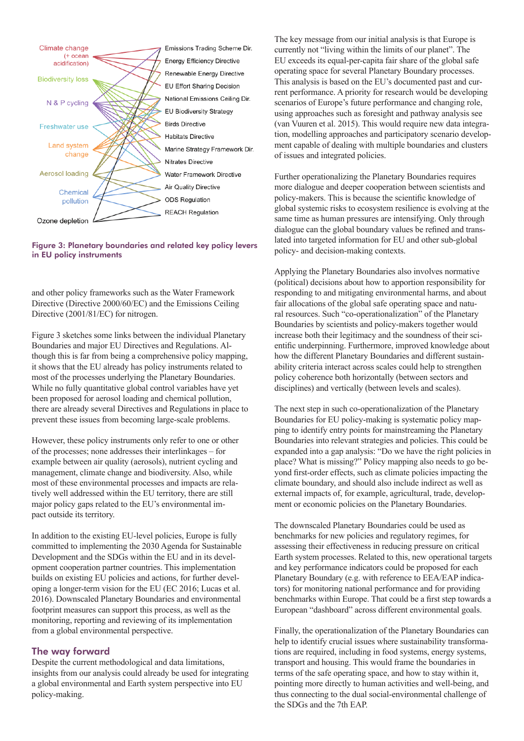



and other policy frameworks such as the Water Framework Directive (Directive 2000/60/EC) and the Emissions Ceiling Directive (2001/81/EC) for nitrogen.

Figure 3 sketches some links between the individual Planetary Boundaries and major EU Directives and Regulations. Although this is far from being a comprehensive policy mapping, it shows that the EU already has policy instruments related to most of the processes underlying the Planetary Boundaries. While no fully quantitative global control variables have yet been proposed for aerosol loading and chemical pollution, there are already several Directives and Regulations in place to prevent these issues from becoming large-scale problems.

However, these policy instruments only refer to one or other of the processes; none addresses their interlinkages – for example between air quality (aerosols), nutrient cycling and management, climate change and biodiversity. Also, while most of these environmental processes and impacts are relatively well addressed within the EU territory, there are still major policy gaps related to the EU's environmental impact outside its territory.

In addition to the existing EU-level policies, Europe is fully committed to implementing the 2030 Agenda for Sustainable Development and the SDGs within the EU and in its development cooperation partner countries. This implementation builds on existing EU policies and actions, for further developing a longer-term vision for the EU (EC 2016; Lucas et al. 2016). Downscaled Planetary Boundaries and environmental footprint measures can support this process, as well as the monitoring, reporting and reviewing of its implementation from a global environmental perspective.

#### The way forward

Despite the current methodological and data limitations, insights from our analysis could already be used for integrating a global environmental and Earth system perspective into EU policy-making.

The key message from our initial analysis is that Europe is currently not "living within the limits of our planet". The EU exceeds its equal-per-capita fair share of the global safe operating space for several Planetary Boundary processes. This analysis is based on the EU's documented past and current performance. A priority for research would be developing scenarios of Europe's future performance and changing role, using approaches such as foresight and pathway analysis see (van Vuuren et al. 2015). This would require new data integration, modelling approaches and participatory scenario development capable of dealing with multiple boundaries and clusters of issues and integrated policies.

Further operationalizing the Planetary Boundaries requires more dialogue and deeper cooperation between scientists and policy-makers. This is because the scientific knowledge of global systemic risks to ecosystem resilience is evolving at the same time as human pressures are intensifying. Only through dialogue can the global boundary values be refined and translated into targeted information for EU and other sub-global policy- and decision-making contexts.

Applying the Planetary Boundaries also involves normative (political) decisions about how to apportion responsibility for responding to and mitigating environmental harms, and about fair allocations of the global safe operating space and natural resources. Such "co-operationalization" of the Planetary Boundaries by scientists and policy-makers together would increase both their legitimacy and the soundness of their scientific underpinning. Furthermore, improved knowledge about how the different Planetary Boundaries and different sustainability criteria interact across scales could help to strengthen policy coherence both horizontally (between sectors and disciplines) and vertically (between levels and scales).

The next step in such co-operationalization of the Planetary Boundaries for EU policy-making is systematic policy mapping to identify entry points for mainstreaming the Planetary Boundaries into relevant strategies and policies. This could be expanded into a gap analysis: "Do we have the right policies in place? What is missing?" Policy mapping also needs to go beyond first-order effects, such as climate policies impacting the climate boundary, and should also include indirect as well as external impacts of, for example, agricultural, trade, development or economic policies on the Planetary Boundaries.

The downscaled Planetary Boundaries could be used as benchmarks for new policies and regulatory regimes, for assessing their effectiveness in reducing pressure on critical Earth system processes. Related to this, new operational targets and key performance indicators could be proposed for each Planetary Boundary (e.g. with reference to EEA/EAP indicators) for monitoring national performance and for providing benchmarks within Europe. That could be a first step towards a European "dashboard" across different environmental goals.

Finally, the operationalization of the Planetary Boundaries can help to identify crucial issues where sustainability transformations are required, including in food systems, energy systems, transport and housing. This would frame the boundaries in terms of the safe operating space, and how to stay within it, pointing more directly to human activities and well-being, and thus connecting to the dual social-environmental challenge of the SDGs and the 7th EAP.